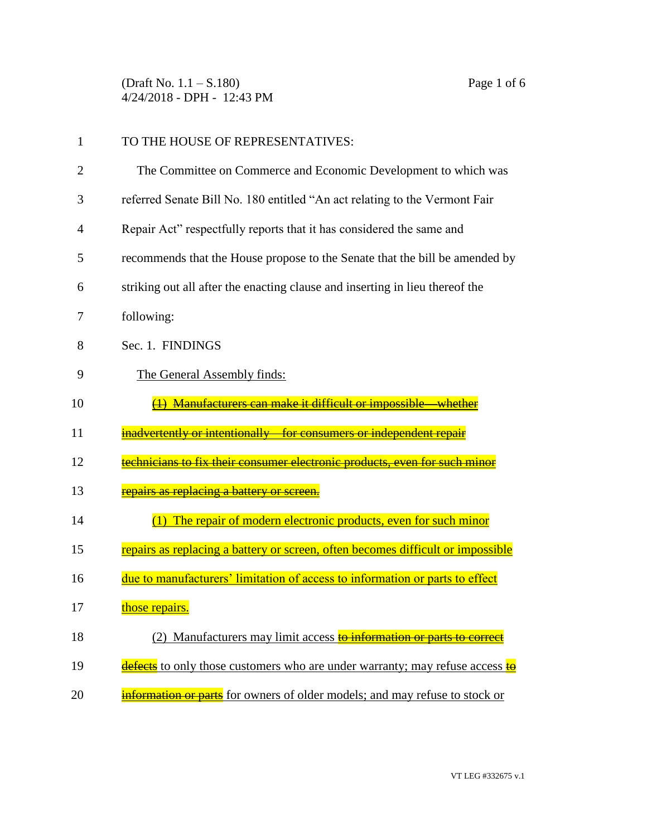(Draft No. 1.1 – S.180) Page 1 of 6 4/24/2018 - DPH - 12:43 PM

| 1  | TO THE HOUSE OF REPRESENTATIVES:                                                           |
|----|--------------------------------------------------------------------------------------------|
| 2  | The Committee on Commerce and Economic Development to which was                            |
| 3  | referred Senate Bill No. 180 entitled "An act relating to the Vermont Fair                 |
| 4  | Repair Act" respectfully reports that it has considered the same and                       |
| 5  | recommends that the House propose to the Senate that the bill be amended by                |
| 6  | striking out all after the enacting clause and inserting in lieu thereof the               |
| 7  | following:                                                                                 |
| 8  | Sec. 1. FINDINGS                                                                           |
| 9  | The General Assembly finds:                                                                |
| 10 | Manufacturers can make it difficult or impossible                                          |
| 11 | inadvertently or intentionally—for consumers or independent repa                           |
| 12 | <del>technicians to fix their consumer electronic products, even for such minor</del>      |
| 13 | <del>epairs as replacing a battery or screen.</del>                                        |
| 14 | The repair of modern electronic products, even for such minor                              |
| 15 | repairs as replacing a battery or screen, often becomes difficult or impossible            |
| 16 | due to manufacturers' limitation of access to information or parts to effect               |
| 17 | those repairs.                                                                             |
| 18 | (2) Manufacturers may limit access <b>to information or parts to correct</b>               |
|    |                                                                                            |
| 19 | <b>defects</b> to only those customers who are under warranty; may refuse access <b>to</b> |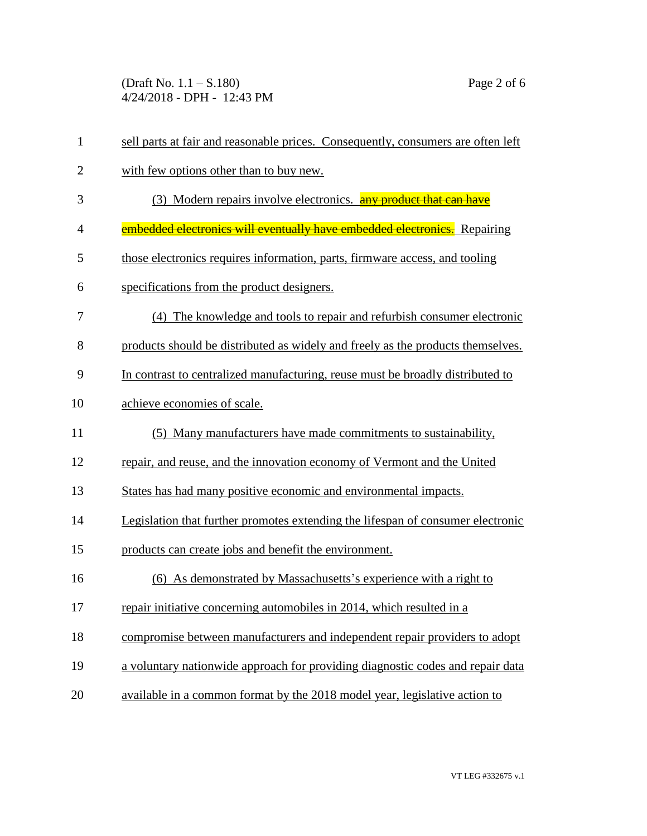(Draft No. 1.1 – S.180) Page 2 of 6 4/24/2018 - DPH - 12:43 PM

| $\mathbf{1}$   | sell parts at fair and reasonable prices. Consequently, consumers are often left |  |  |
|----------------|----------------------------------------------------------------------------------|--|--|
| $\overline{2}$ | with few options other than to buy new.                                          |  |  |
| 3              | (3) Modern repairs involve electronics. any product that can have                |  |  |
| 4              | embedded electronics will eventually have embedded electronics. Repairing        |  |  |
| 5              | those electronics requires information, parts, firmware access, and tooling      |  |  |
| 6              | specifications from the product designers.                                       |  |  |
| 7              | (4) The knowledge and tools to repair and refurbish consumer electronic          |  |  |
| 8              | products should be distributed as widely and freely as the products themselves.  |  |  |
| 9              | In contrast to centralized manufacturing, reuse must be broadly distributed to   |  |  |
| 10             | achieve economies of scale.                                                      |  |  |
| 11             | (5) Many manufacturers have made commitments to sustainability,                  |  |  |
| 12             | repair, and reuse, and the innovation economy of Vermont and the United          |  |  |
| 13             | States has had many positive economic and environmental impacts.                 |  |  |
| 14             | Legislation that further promotes extending the lifespan of consumer electronic  |  |  |
| 15             | products can create jobs and benefit the environment.                            |  |  |
| 16             | As demonstrated by Massachusetts's experience with a right to<br>(6)             |  |  |
| 17             | repair initiative concerning automobiles in 2014, which resulted in a            |  |  |
| 18             | compromise between manufacturers and independent repair providers to adopt       |  |  |
| 19             | a voluntary nationwide approach for providing diagnostic codes and repair data   |  |  |
| 20             | available in a common format by the 2018 model year, legislative action to       |  |  |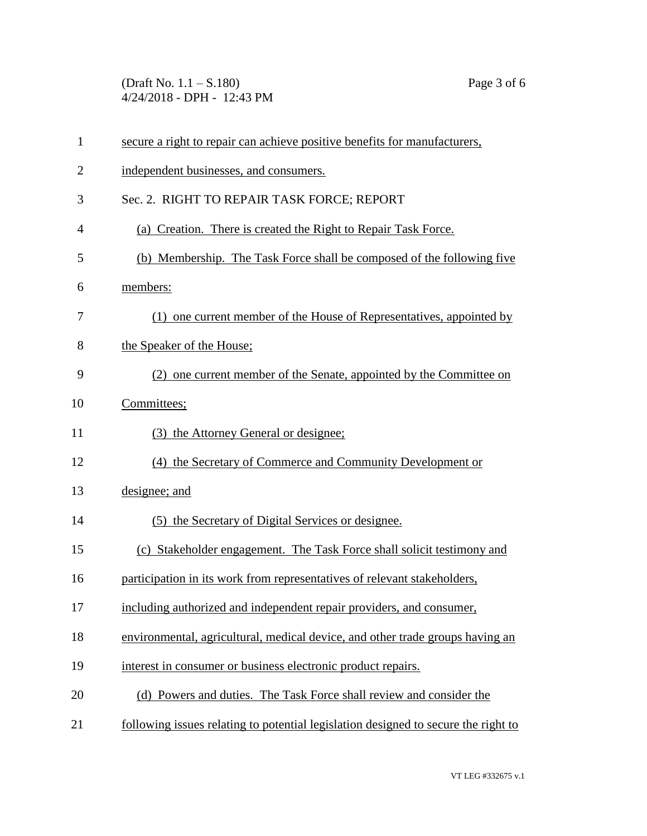(Draft No. 1.1 – S.180) Page 3 of 6 4/24/2018 - DPH - 12:43 PM

| $\mathbf{1}$   | secure a right to repair can achieve positive benefits for manufacturers,          |  |
|----------------|------------------------------------------------------------------------------------|--|
| $\overline{2}$ | independent businesses, and consumers.                                             |  |
| 3              | Sec. 2. RIGHT TO REPAIR TASK FORCE; REPORT                                         |  |
| $\overline{4}$ | (a) Creation. There is created the Right to Repair Task Force.                     |  |
| 5              | (b) Membership. The Task Force shall be composed of the following five             |  |
| 6              | members:                                                                           |  |
| 7              | (1) one current member of the House of Representatives, appointed by               |  |
| 8              | the Speaker of the House;                                                          |  |
| 9              | (2) one current member of the Senate, appointed by the Committee on                |  |
| 10             | Committees;                                                                        |  |
| 11             | (3) the Attorney General or designee;                                              |  |
| 12             | (4) the Secretary of Commerce and Community Development or                         |  |
| 13             | designee; and                                                                      |  |
| 14             | (5) the Secretary of Digital Services or designee.                                 |  |
| 15             | (c) Stakeholder engagement. The Task Force shall solicit testimony and             |  |
| 16             | participation in its work from representatives of relevant stakeholders,           |  |
| 17             | including authorized and independent repair providers, and consumer,               |  |
| 18             | environmental, agricultural, medical device, and other trade groups having an      |  |
| 19             | interest in consumer or business electronic product repairs.                       |  |
| 20             | (d) Powers and duties. The Task Force shall review and consider the                |  |
| 21             | following issues relating to potential legislation designed to secure the right to |  |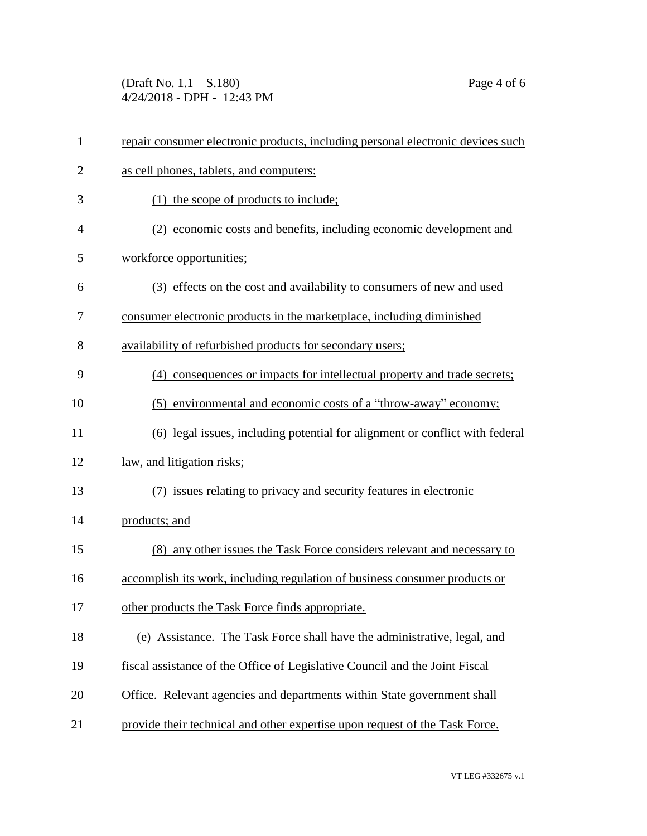(Draft No. 1.1 – S.180) Page 4 of 6 4/24/2018 - DPH - 12:43 PM

| $\mathbf{1}$   | repair consumer electronic products, including personal electronic devices such |  |  |
|----------------|---------------------------------------------------------------------------------|--|--|
| $\overline{2}$ | as cell phones, tablets, and computers:                                         |  |  |
| 3              | $(1)$ the scope of products to include;                                         |  |  |
| 4              | (2) economic costs and benefits, including economic development and             |  |  |
| 5              | workforce opportunities;                                                        |  |  |
| 6              | (3) effects on the cost and availability to consumers of new and used           |  |  |
| 7              | consumer electronic products in the marketplace, including diminished           |  |  |
| 8              | availability of refurbished products for secondary users;                       |  |  |
| 9              | (4) consequences or impacts for intellectual property and trade secrets;        |  |  |
| 10             | (5) environmental and economic costs of a "throw-away" economy;                 |  |  |
| 11             | (6) legal issues, including potential for alignment or conflict with federal    |  |  |
| 12             | law, and litigation risks;                                                      |  |  |
| 13             | (7) issues relating to privacy and security features in electronic              |  |  |
| 14             | products; and                                                                   |  |  |
| 15             | (8) any other issues the Task Force considers relevant and necessary to         |  |  |
| 16             | accomplish its work, including regulation of business consumer products or      |  |  |
| 17             | other products the Task Force finds appropriate.                                |  |  |
| 18             | (e) Assistance. The Task Force shall have the administrative, legal, and        |  |  |
| 19             | fiscal assistance of the Office of Legislative Council and the Joint Fiscal     |  |  |
| 20             | Office. Relevant agencies and departments within State government shall         |  |  |
| 21             | provide their technical and other expertise upon request of the Task Force.     |  |  |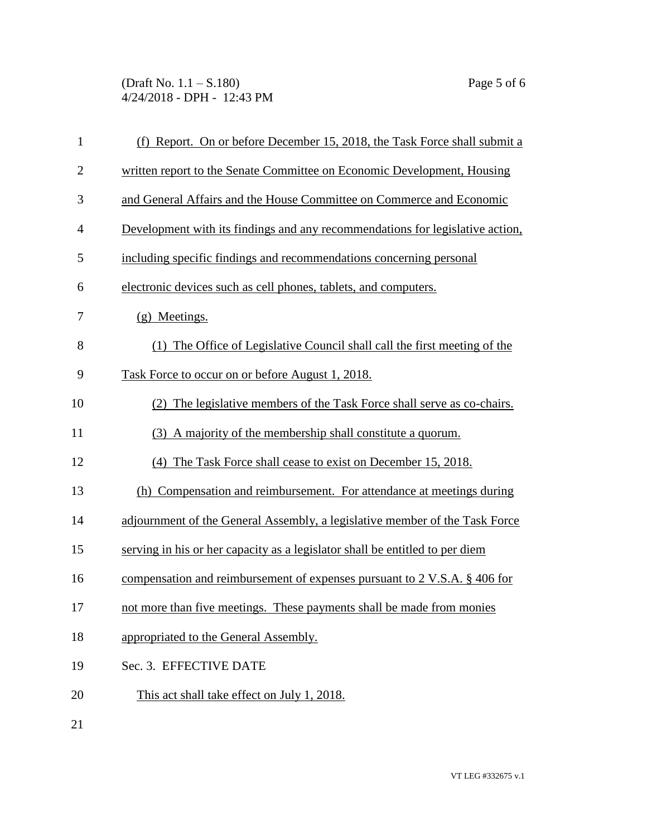(Draft No. 1.1 – S.180) Page 5 of 6 4/24/2018 - DPH - 12:43 PM

| $\mathbf{1}$   | (f) Report. On or before December 15, 2018, the Task Force shall submit a     |  |
|----------------|-------------------------------------------------------------------------------|--|
| $\overline{2}$ | written report to the Senate Committee on Economic Development, Housing       |  |
| 3              | and General Affairs and the House Committee on Commerce and Economic          |  |
| $\overline{4}$ | Development with its findings and any recommendations for legislative action, |  |
| 5              | including specific findings and recommendations concerning personal           |  |
| 6              | electronic devices such as cell phones, tablets, and computers.               |  |
| 7              | (g) Meetings.                                                                 |  |
| 8              | (1) The Office of Legislative Council shall call the first meeting of the     |  |
| 9              | Task Force to occur on or before August 1, 2018.                              |  |
| 10             | (2) The legislative members of the Task Force shall serve as co-chairs.       |  |
| 11             | (3) A majority of the membership shall constitute a quorum.                   |  |
| 12             | (4) The Task Force shall cease to exist on December 15, 2018.                 |  |
| 13             | (h) Compensation and reimbursement. For attendance at meetings during         |  |
| 14             | adjournment of the General Assembly, a legislative member of the Task Force   |  |
| 15             | serving in his or her capacity as a legislator shall be entitled to per diem  |  |
| 16             | compensation and reimbursement of expenses pursuant to 2 V.S.A. § 406 for     |  |
| 17             | not more than five meetings. These payments shall be made from monies         |  |
| 18             | appropriated to the General Assembly.                                         |  |
|                |                                                                               |  |

- 19 Sec. 3. EFFECTIVE DATE
- 20 This act shall take effect on July 1, 2018.

21